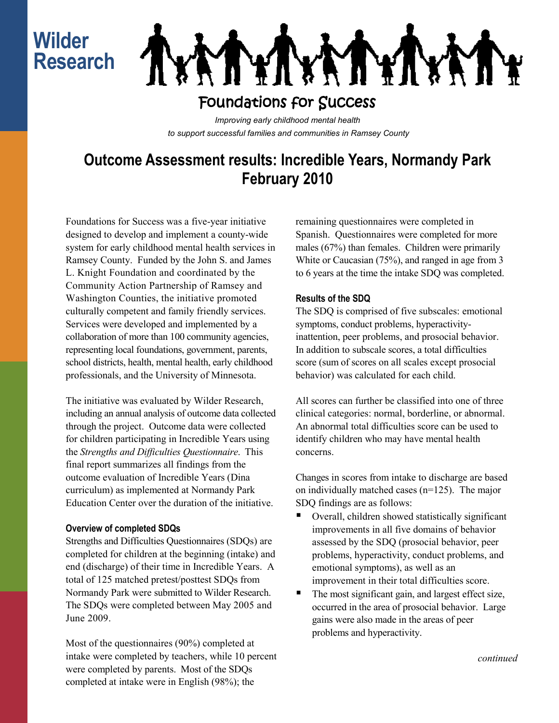# **Wilder Research**



### Foundations for Success

*Improving early childhood mental health to support successful families and communities in Ramsey County*

## **Outcome Assessment results: Incredible Years, Normandy Park February 2010**

Foundations for Success was a five-year initiative designed to develop and implement a county-wide system for early childhood mental health services in Ramsey County. Funded by the John S. and James L. Knight Foundation and coordinated by the Community Action Partnership of Ramsey and Washington Counties, the initiative promoted culturally competent and family friendly services. Services were developed and implemented by a collaboration of more than 100 community agencies, representing local foundations, government, parents, school districts, health, mental health, early childhood professionals, and the University of Minnesota.

The initiative was evaluated by Wilder Research, including an annual analysis of outcome data collected through the project. Outcome data were collected for children participating in Incredible Years using the *Strengths and Difficulties Questionnaire*. This final report summarizes all findings from the outcome evaluation of Incredible Years (Dina curriculum) as implemented at Normandy Park Education Center over the duration of the initiative.

### **Overview of completed SDQs**

Strengths and Difficulties Questionnaires (SDQs) are completed for children at the beginning (intake) and end (discharge) of their time in Incredible Years. A total of 125 matched pretest/posttest SDQs from Normandy Park were submitted to Wilder Research. The SDQs were completed between May 2005 and June 2009.

Most of the questionnaires (90%) completed at intake were completed by teachers, while 10 percent were completed by parents. Most of the SDQs completed at intake were in English (98%); the

remaining questionnaires were completed in Spanish. Questionnaires were completed for more males (67%) than females. Children were primarily White or Caucasian (75%), and ranged in age from 3 to 6 years at the time the intake SDQ was completed.

### **Results of the SDQ**

The SDQ is comprised of five subscales: emotional symptoms, conduct problems, hyperactivityinattention, peer problems, and prosocial behavior. In addition to subscale scores, a total difficulties score (sum of scores on all scales except prosocial behavior) was calculated for each child.

All scores can further be classified into one of three clinical categories: normal, borderline, or abnormal. An abnormal total difficulties score can be used to identify children who may have mental health concerns.

Changes in scores from intake to discharge are based on individually matched cases (n=125). The major SDQ findings are as follows:

- Overall, children showed statistically significant improvements in all five domains of behavior assessed by the SDQ (prosocial behavior, peer problems, hyperactivity, conduct problems, and emotional symptoms), as well as an improvement in their total difficulties score.
- The most significant gain, and largest effect size, occurred in the area of prosocial behavior. Large gains were also made in the areas of peer problems and hyperactivity.

*continued*